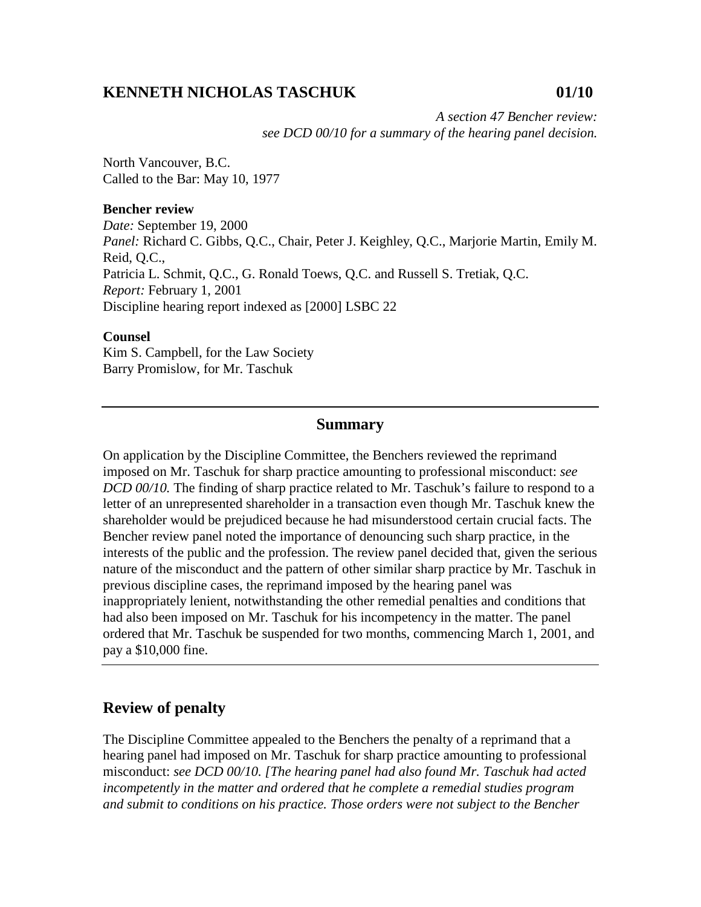# **KENNETH NICHOLAS TASCHUK 01/10**

*A section 47 Bencher review: see DCD 00/10 for a summary of the hearing panel decision.* 

North Vancouver, B.C. Called to the Bar: May 10, 1977

#### **Bencher review**

*Date:* September 19, 2000 *Panel:* Richard C. Gibbs, Q.C., Chair, Peter J. Keighley, Q.C., Marjorie Martin, Emily M. Reid, Q.C., Patricia L. Schmit, Q.C., G. Ronald Toews, Q.C. and Russell S. Tretiak, Q.C. *Report:* February 1, 2001 Discipline hearing report indexed as [2000] LSBC 22

#### **Counsel**

Kim S. Campbell, for the Law Society Barry Promislow, for Mr. Taschuk

## **Summary**

On application by the Discipline Committee, the Benchers reviewed the reprimand imposed on Mr. Taschuk for sharp practice amounting to professional misconduct: *see DCD 00/10.* The finding of sharp practice related to Mr. Taschuk's failure to respond to a letter of an unrepresented shareholder in a transaction even though Mr. Taschuk knew the shareholder would be prejudiced because he had misunderstood certain crucial facts. The Bencher review panel noted the importance of denouncing such sharp practice, in the interests of the public and the profession. The review panel decided that, given the serious nature of the misconduct and the pattern of other similar sharp practice by Mr. Taschuk in previous discipline cases, the reprimand imposed by the hearing panel was inappropriately lenient, notwithstanding the other remedial penalties and conditions that had also been imposed on Mr. Taschuk for his incompetency in the matter. The panel ordered that Mr. Taschuk be suspended for two months, commencing March 1, 2001, and pay a \$10,000 fine.

## **Review of penalty**

The Discipline Committee appealed to the Benchers the penalty of a reprimand that a hearing panel had imposed on Mr. Taschuk for sharp practice amounting to professional misconduct: *see DCD 00/10. [The hearing panel had also found Mr. Taschuk had acted incompetently in the matter and ordered that he complete a remedial studies program and submit to conditions on his practice. Those orders were not subject to the Bencher*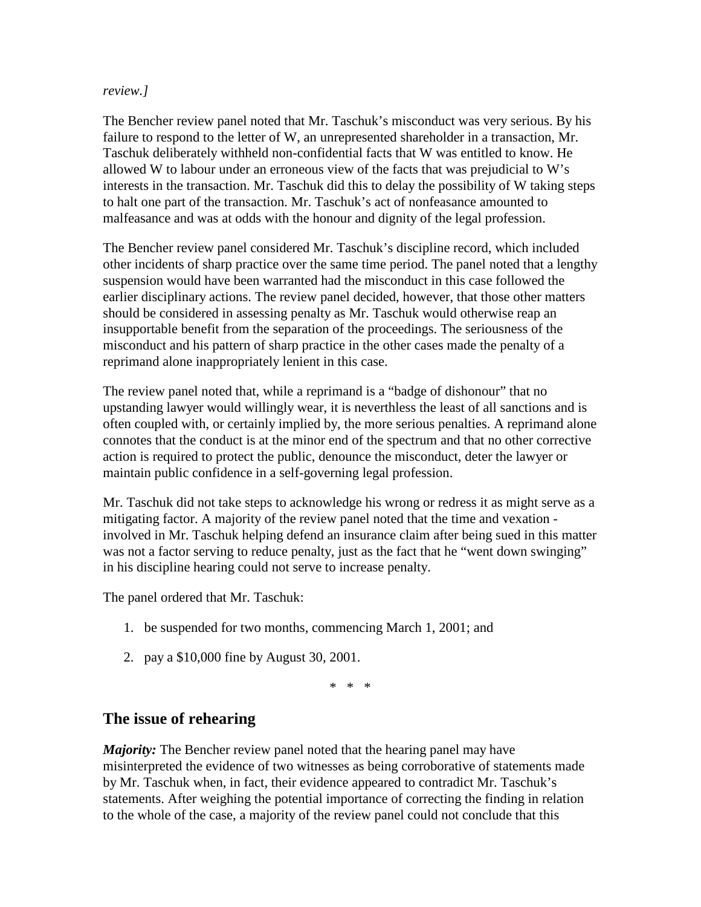#### *review.]*

The Bencher review panel noted that Mr. Taschuk's misconduct was very serious. By his failure to respond to the letter of W, an unrepresented shareholder in a transaction, Mr. Taschuk deliberately withheld non-confidential facts that W was entitled to know. He allowed W to labour under an erroneous view of the facts that was prejudicial to W's interests in the transaction. Mr. Taschuk did this to delay the possibility of W taking steps to halt one part of the transaction. Mr. Taschuk's act of nonfeasance amounted to malfeasance and was at odds with the honour and dignity of the legal profession.

The Bencher review panel considered Mr. Taschuk's discipline record, which included other incidents of sharp practice over the same time period. The panel noted that a lengthy suspension would have been warranted had the misconduct in this case followed the earlier disciplinary actions. The review panel decided, however, that those other matters should be considered in assessing penalty as Mr. Taschuk would otherwise reap an insupportable benefit from the separation of the proceedings. The seriousness of the misconduct and his pattern of sharp practice in the other cases made the penalty of a reprimand alone inappropriately lenient in this case.

The review panel noted that, while a reprimand is a "badge of dishonour" that no upstanding lawyer would willingly wear, it is neverthless the least of all sanctions and is often coupled with, or certainly implied by, the more serious penalties. A reprimand alone connotes that the conduct is at the minor end of the spectrum and that no other corrective action is required to protect the public, denounce the misconduct, deter the lawyer or maintain public confidence in a self-governing legal profession.

Mr. Taschuk did not take steps to acknowledge his wrong or redress it as might serve as a mitigating factor. A majority of the review panel noted that the time and vexation involved in Mr. Taschuk helping defend an insurance claim after being sued in this matter was not a factor serving to reduce penalty, just as the fact that he "went down swinging" in his discipline hearing could not serve to increase penalty.

The panel ordered that Mr. Taschuk:

- 1. be suspended for two months, commencing March 1, 2001; and
- 2. pay a \$10,000 fine by August 30, 2001.

\* \* \*

### **The issue of rehearing**

*Majority:* The Bencher review panel noted that the hearing panel may have misinterpreted the evidence of two witnesses as being corroborative of statements made by Mr. Taschuk when, in fact, their evidence appeared to contradict Mr. Taschuk's statements. After weighing the potential importance of correcting the finding in relation to the whole of the case, a majority of the review panel could not conclude that this